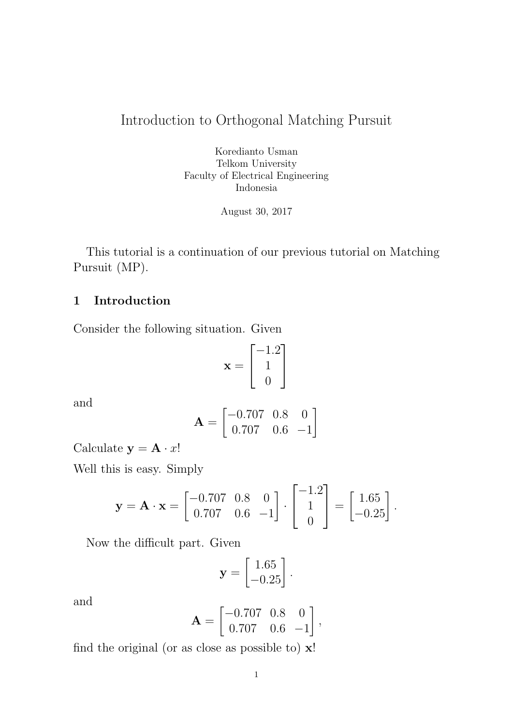# Introduction to Orthogonal Matching Pursuit

Koredianto Usman Telkom University Faculty of Electrical Engineering Indonesia

August 30, 2017

This tutorial is a continuation of our previous tutorial on Matching Pursuit (MP).

# 1 Introduction

Consider the following situation. Given

$$
\mathbf{x} = \begin{bmatrix} -1.2\\ 1\\ 0 \end{bmatrix}
$$

and

$$
\mathbf{A} = \begin{bmatrix} -0.707 & 0.8 & 0 \\ 0.707 & 0.6 & -1 \end{bmatrix}
$$

Calculate  $y = A \cdot x!$ 

Well this is easy. Simply

$$
\mathbf{y} = \mathbf{A} \cdot \mathbf{x} = \begin{bmatrix} -0.707 & 0.8 & 0 \\ 0.707 & 0.6 & -1 \end{bmatrix} \cdot \begin{bmatrix} -1.2 \\ 1 \\ 0 \end{bmatrix} = \begin{bmatrix} 1.65 \\ -0.25 \end{bmatrix}.
$$

Now the difficult part. Given

$$
\mathbf{y} = \begin{bmatrix} 1.65 \\ -0.25 \end{bmatrix}.
$$

and

$$
\mathbf{A} = \begin{bmatrix} -0.707 & 0.8 & 0 \\ 0.707 & 0.6 & -1 \end{bmatrix},
$$

find the original (or as close as possible to)  $x!$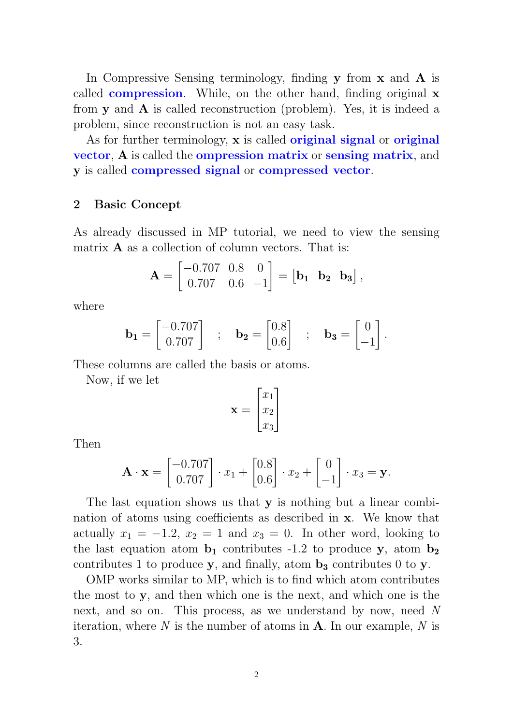In Compressive Sensing terminology, finding y from x and A is called **compression**. While, on the other hand, finding original **x** from  $y$  and  $A$  is called reconstruction (problem). Yes, it is indeed a problem, since reconstruction is not an easy task.

As for further terminology, x is called **original signal** or **original** vector, A is called the ompression matrix or sensing matrix, and y is called compressed signal or compressed vector.

#### 2 Basic Concept

As already discussed in MP tutorial, we need to view the sensing matrix  $\bf{A}$  as a collection of column vectors. That is:

$$
\mathbf{A} = \begin{bmatrix} -0.707 & 0.8 & 0 \\ 0.707 & 0.6 & -1 \end{bmatrix} = \begin{bmatrix} \mathbf{b_1} & \mathbf{b_2} & \mathbf{b_3} \end{bmatrix},
$$

where

$$
\mathbf{b_1} = \begin{bmatrix} -0.707 \\ 0.707 \end{bmatrix} \quad ; \quad \mathbf{b_2} = \begin{bmatrix} 0.8 \\ 0.6 \end{bmatrix} \quad ; \quad \mathbf{b_3} = \begin{bmatrix} 0 \\ -1 \end{bmatrix}.
$$

These columns are called the basis or atoms.

Now, if we let

$$
\mathbf{x} = \begin{bmatrix} x_1 \\ x_2 \\ x_3 \end{bmatrix}
$$

Then

$$
\mathbf{A} \cdot \mathbf{x} = \begin{bmatrix} -0.707 \\ 0.707 \end{bmatrix} \cdot x_1 + \begin{bmatrix} 0.8 \\ 0.6 \end{bmatrix} \cdot x_2 + \begin{bmatrix} 0 \\ -1 \end{bmatrix} \cdot x_3 = \mathbf{y}.
$$

The last equation shows us that y is nothing but a linear combination of atoms using coefficients as described in x. We know that actually  $x_1 = -1.2$ ,  $x_2 = 1$  and  $x_3 = 0$ . In other word, looking to the last equation atom  $\mathbf{b}_1$  contributes -1.2 to produce y, atom  $\mathbf{b}_2$ contributes 1 to produce y, and finally, atom  $\mathbf{b}_3$  contributes 0 to y.

OMP works similar to MP, which is to find which atom contributes the most to y, and then which one is the next, and which one is the next, and so on. This process, as we understand by now, need N iteration, where N is the number of atoms in  $A$ . In our example, N is 3.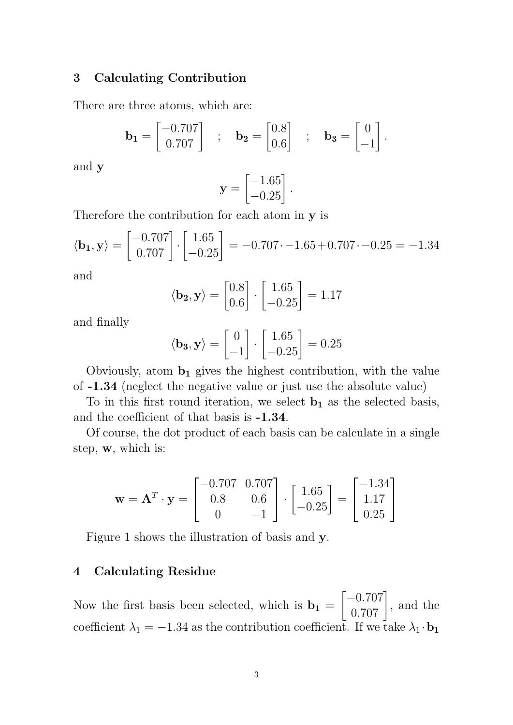#### 3 Calculating Contribution

There are three atoms, which are:

$$
\mathbf{b_1} = \begin{bmatrix} -0.707 \\ 0.707 \end{bmatrix} \quad ; \quad \mathbf{b_2} = \begin{bmatrix} 0.8 \\ 0.6 \end{bmatrix} \quad ; \quad \mathbf{b_3} = \begin{bmatrix} 0 \\ -1 \end{bmatrix}.
$$

and y

$$
\mathbf{y} = \begin{bmatrix} -1.65 \\ -0.25 \end{bmatrix}.
$$

Therefore the contribution for each atom in y is

$$
\langle \mathbf{b}_1, \mathbf{y} \rangle = \begin{bmatrix} -0.707 \\ 0.707 \end{bmatrix} \cdot \begin{bmatrix} 1.65 \\ -0.25 \end{bmatrix} = -0.707 \cdot -1.65 + 0.707 \cdot -0.25 = -1.34
$$

and

$$
\langle \mathbf{b_2}, \mathbf{y} \rangle = \begin{bmatrix} 0.8\\ 0.6 \end{bmatrix} \cdot \begin{bmatrix} 1.65\\ -0.25 \end{bmatrix} = 1.17
$$

and finally

$$
\langle \mathbf{b_3}, \mathbf{y} \rangle = \begin{bmatrix} 0 \\ -1 \end{bmatrix} \cdot \begin{bmatrix} 1.65 \\ -0.25 \end{bmatrix} = 0.25
$$

Obviously, atom  $\mathbf{b}_1$  gives the highest contribution, with the value of -1.34 (neglect the negative value or just use the absolute value)

To in this first round iteration, we select  $\mathbf{b}_1$  as the selected basis, and the coefficient of that basis is -1.34.

Of course, the dot product of each basis can be calculate in a single step, w, which is:

$$
\mathbf{w} = \mathbf{A}^T \cdot \mathbf{y} = \begin{bmatrix} -0.707 & 0.707 \\ 0.8 & 0.6 \\ 0 & -1 \end{bmatrix} \cdot \begin{bmatrix} 1.65 \\ -0.25 \end{bmatrix} = \begin{bmatrix} -1.34 \\ 1.17 \\ 0.25 \end{bmatrix}
$$

Figure 1 shows the illustration of basis and y.

### 4 Calculating Residue

Now the first basis been selected, which is  $\mathbf{b}_1 =$  $\begin{bmatrix} -0.707 \\ 0.707 \end{bmatrix}$ , and the coefficient  $\lambda_1 = -1.34$  as the contribution coefficient. If we take  $\lambda_1 \cdot \mathbf{b_1}$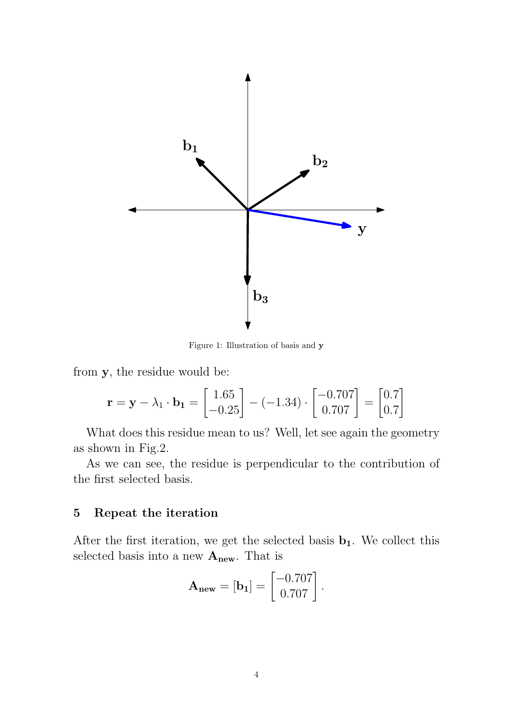

Figure 1: Illustration of basis and y

from y, the residue would be:

$$
\mathbf{r} = \mathbf{y} - \lambda_1 \cdot \mathbf{b}_1 = \begin{bmatrix} 1.65 \\ -0.25 \end{bmatrix} - (-1.34) \cdot \begin{bmatrix} -0.707 \\ 0.707 \end{bmatrix} = \begin{bmatrix} 0.7 \\ 0.7 \end{bmatrix}
$$

What does this residue mean to us? Well, let see again the geometry as shown in Fig.2.

As we can see, the residue is perpendicular to the contribution of the first selected basis.

### 5 Repeat the iteration

After the first iteration, we get the selected basis  $\mathbf{b}_1$ . We collect this selected basis into a new  $A_{\text{new}}$ . That is

$$
\mathbf{A}_{\text{new}} = [\mathbf{b}_1] = \begin{bmatrix} -0.707 \\ 0.707 \end{bmatrix}.
$$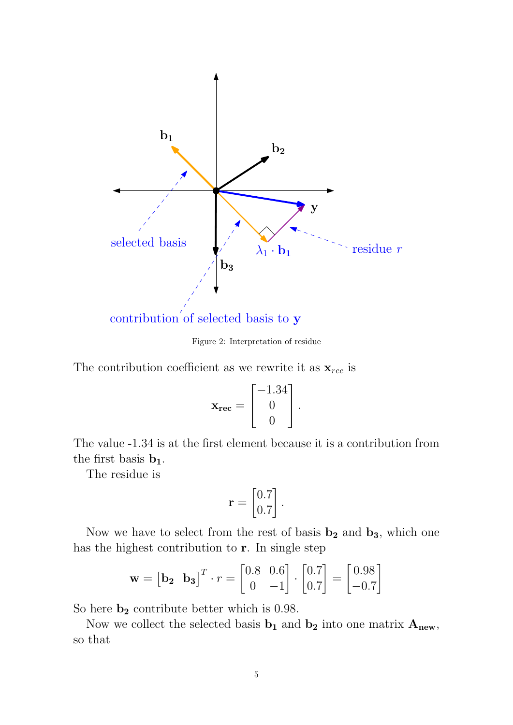

contribution of selected basis to y

Figure 2: Interpretation of residue

The contribution coefficient as we rewrite it as  $\mathbf{x}_{rec}$  is

$$
\mathbf{x}_{\text{rec}} = \begin{bmatrix} -1.34 \\ 0 \\ 0 \end{bmatrix}.
$$

The value -1.34 is at the first element because it is a contribution from the first basis  $\mathbf{b}_1$ .

The residue is

$$
\mathbf{r} = \begin{bmatrix} 0.7 \\ 0.7 \end{bmatrix}.
$$

Now we have to select from the rest of basis  $\mathbf{b}_2$  and  $\mathbf{b}_3$ , which one has the highest contribution to r. In single step

$$
\mathbf{w} = \begin{bmatrix} \mathbf{b_2} & \mathbf{b_3} \end{bmatrix}^T \cdot r = \begin{bmatrix} 0.8 & 0.6 \\ 0 & -1 \end{bmatrix} \cdot \begin{bmatrix} 0.7 \\ 0.7 \end{bmatrix} = \begin{bmatrix} 0.98 \\ -0.7 \end{bmatrix}
$$

So here  $b_2$  contribute better which is 0.98.

Now we collect the selected basis  $\mathbf{b}_1$  and  $\mathbf{b}_2$  into one matrix  $\mathbf{A}_{\text{new}}$ , so that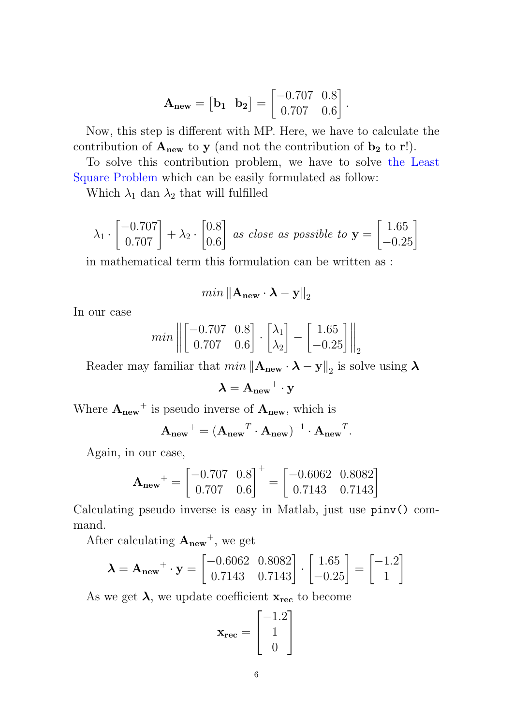$$
\mathbf{A}_{\text{new}} = \begin{bmatrix} \mathbf{b}_1 & \mathbf{b}_2 \end{bmatrix} = \begin{bmatrix} -0.707 & 0.8 \\ 0.707 & 0.6 \end{bmatrix}.
$$

Now, this step is different with MP. Here, we have to calculate the contribution of  $A_{new}$  to y (and not the contribution of  $b_2$  to r!).

To solve this contribution problem, we have to solve the Least Square Problem which can be easily formulated as follow:

Which  $\lambda_1$  dan  $\lambda_2$  that will fulfilled

$$
\lambda_1 \cdot \begin{bmatrix} -0.707 \\ 0.707 \end{bmatrix} + \lambda_2 \cdot \begin{bmatrix} 0.8 \\ 0.6 \end{bmatrix}
$$
 as close as possible to  $\mathbf{y} = \begin{bmatrix} 1.65 \\ -0.25 \end{bmatrix}$ 

in mathematical term this formulation can be written as :

$$
min ||\mathbf{A}_{\text{new}} \cdot \mathbf{\lambda} - \mathbf{y}||_2
$$

In our case

$$
min \left\| \begin{bmatrix} -0.707 & 0.8 \\ 0.707 & 0.6 \end{bmatrix} \cdot \begin{bmatrix} \lambda_1 \\ \lambda_2 \end{bmatrix} - \begin{bmatrix} 1.65 \\ -0.25 \end{bmatrix} \right\|_2
$$

Reader may familiar that  $min ||A_{new} \cdot \lambda - y||_2$  is solve using  $\lambda$ 

$$
\lambda = A_{\text{new}}{}^+ \cdot y
$$

Where  $A_{\text{new}}^+$  is pseudo inverse of  $A_{\text{new}}$ , which is

$$
\mathbf{A}_{\text{new}}^{+} = (\mathbf{A}_{\text{new}}^{T} \cdot \mathbf{A}_{\text{new}})^{-1} \cdot \mathbf{A}_{\text{new}}^{T}.
$$

Again, in our case,

$$
\mathbf{A}_{\text{new}}^{+} = \begin{bmatrix} -0.707 & 0.8 \\ 0.707 & 0.6 \end{bmatrix}^{+} = \begin{bmatrix} -0.6062 & 0.8082 \\ 0.7143 & 0.7143 \end{bmatrix}
$$

Calculating pseudo inverse is easy in Matlab, just use pinv() command.

After calculating  $A_{new}^+$ , we get

$$
\mathbf{\lambda} = \mathbf{A}_{\text{new}}^{+} \cdot \mathbf{y} = \begin{bmatrix} -0.6062 & 0.8082 \\ 0.7143 & 0.7143 \end{bmatrix} \cdot \begin{bmatrix} 1.65 \\ -0.25 \end{bmatrix} = \begin{bmatrix} -1.2 \\ 1 \end{bmatrix}
$$

As we get  $\lambda$ , we update coefficient  $x_{rec}$  to become

$$
\mathbf{x}_{\text{rec}} = \begin{bmatrix} -1.2\\ 1\\ 0 \end{bmatrix}
$$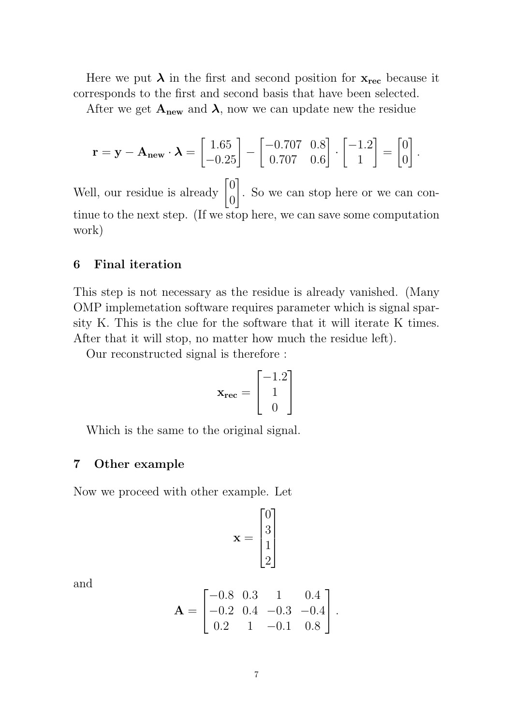Here we put  $\lambda$  in the first and second position for  $x_{\text{rec}}$  because it corresponds to the first and second basis that have been selected.

After we get  $A_{new}$  and  $\lambda$ , now we can update new the residue

$$
\mathbf{r} = \mathbf{y} - \mathbf{A}_{\text{new}} \cdot \boldsymbol{\lambda} = \begin{bmatrix} 1.65 \\ -0.25 \end{bmatrix} - \begin{bmatrix} -0.707 & 0.8 \\ 0.707 & 0.6 \end{bmatrix} \cdot \begin{bmatrix} -1.2 \\ 1 \end{bmatrix} = \begin{bmatrix} 0 \\ 0 \end{bmatrix}
$$

.

Well, our residue is already  $\begin{bmatrix} 0 \\ 0 \end{bmatrix}$  $\overline{0}$ 1 . So we can stop here or we can continue to the next step. (If we stop here, we can save some computation work)

### 6 Final iteration

This step is not necessary as the residue is already vanished. (Many OMP implemetation software requires parameter which is signal sparsity K. This is the clue for the software that it will iterate K times. After that it will stop, no matter how much the residue left).

Our reconstructed signal is therefore :

$$
\mathbf{x}_{\text{rec}} = \begin{bmatrix} -1.2\\ 1\\ 0 \end{bmatrix}
$$

Which is the same to the original signal.

#### 7 Other example

Now we proceed with other example. Let

$$
\mathbf{x} = \begin{bmatrix} 0 \\ 3 \\ 1 \\ 2 \end{bmatrix}
$$

and

$$
\mathbf{A} = \begin{bmatrix} -0.8 & 0.3 & 1 & 0.4 \\ -0.2 & 0.4 & -0.3 & -0.4 \\ 0.2 & 1 & -0.1 & 0.8 \end{bmatrix}.
$$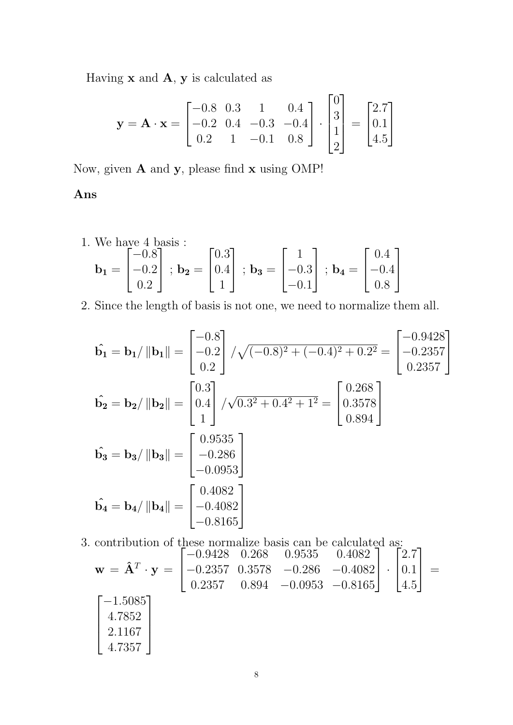Having  $x$  and  $A$ ,  $y$  is calculated as

$$
\mathbf{y} = \mathbf{A} \cdot \mathbf{x} = \begin{bmatrix} -0.8 & 0.3 & 1 & 0.4 \\ -0.2 & 0.4 & -0.3 & -0.4 \\ 0.2 & 1 & -0.1 & 0.8 \end{bmatrix} \cdot \begin{bmatrix} 0 \\ 3 \\ 1 \\ 2 \end{bmatrix} = \begin{bmatrix} 2.7 \\ 0.1 \\ 4.5 \end{bmatrix}
$$

Now, given A and y, please find x using OMP!

Ans

1. We have 4 basis :  
\n
$$
\mathbf{b_1} = \begin{bmatrix} -0.8 \\ -0.2 \\ 0.2 \end{bmatrix}; \mathbf{b_2} = \begin{bmatrix} 0.3 \\ 0.4 \\ 1 \end{bmatrix}; \mathbf{b_3} = \begin{bmatrix} 1 \\ -0.3 \\ -0.1 \end{bmatrix}; \mathbf{b_4} = \begin{bmatrix} 0.4 \\ -0.4 \\ 0.8 \end{bmatrix}
$$

2. Since the length of basis is not one, we need to normalize them all.

$$
\hat{\mathbf{b}_1} = \mathbf{b}_1 / \|\mathbf{b}_1\| = \begin{bmatrix} -0.8 \\ -0.2 \\ 0.2 \end{bmatrix} / \sqrt{(-0.8)^2 + (-0.4)^2 + 0.2^2} = \begin{bmatrix} -0.9428 \\ -0.2357 \\ 0.2357 \end{bmatrix}
$$
  
\n
$$
\hat{\mathbf{b}_2} = \mathbf{b}_2 / \|\mathbf{b}_2\| = \begin{bmatrix} 0.3 \\ 0.4 \\ 1 \end{bmatrix} / \sqrt{0.3^2 + 0.4^2 + 1^2} = \begin{bmatrix} 0.268 \\ 0.3578 \\ 0.894 \end{bmatrix}
$$
  
\n
$$
\hat{\mathbf{b}_3} = \mathbf{b}_3 / \|\mathbf{b}_3\| = \begin{bmatrix} 0.9535 \\ -0.286 \\ -0.0953 \end{bmatrix}
$$
  
\n
$$
\hat{\mathbf{b}_4} = \mathbf{b}_4 / \|\mathbf{b}_4\| = \begin{bmatrix} 0.4082 \\ -0.4082 \\ -0.8165 \end{bmatrix}
$$

3. contribution of these normalize basis can be calculated as:

$$
\mathbf{w} = \hat{\mathbf{A}}^T \cdot \mathbf{y} = \begin{bmatrix} -0.9428 & 0.268 & 0.9535 & 0.4082 \\ -0.2357 & 0.3578 & -0.286 & -0.4082 \\ 0.2357 & 0.894 & -0.0953 & -0.8165 \end{bmatrix} \cdot \begin{bmatrix} 2.7 \\ 0.1 \\ 4.5 \end{bmatrix} = \begin{bmatrix} -1.5085 \\ 4.7852 \\ 4.7357 \end{bmatrix}
$$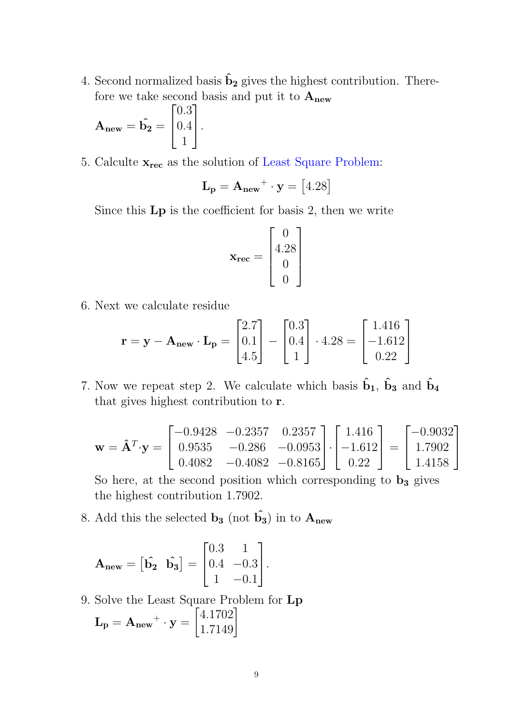4. Second normalized basis  $\hat{\mathbf{b}}_2$  gives the highest contribution. Therefore we take second basis and put it to  $A_{new}$ 

$$
\mathbf{A}_{\text{new}} = \hat{\mathbf{b}_2} = \begin{bmatrix} 0.3 \\ 0.4 \\ 1 \end{bmatrix}.
$$

5. Calculte  $\mathbf{x}_{rec}$  as the solution of Least Square Problem:

$$
\mathbf{L}_{\mathbf{p}} = \mathbf{A}_{\mathbf{new}} + \mathbf{y} = [4.28]
$$

Since this Lp is the coefficient for basis 2, then we write

$$
\mathbf{x}_{\text{rec}} = \begin{bmatrix} 0 \\ 4.28 \\ 0 \\ 0 \end{bmatrix}
$$

6. Next we calculate residue

$$
\mathbf{r} = \mathbf{y} - \mathbf{A}_{\text{new}} \cdot \mathbf{L}_{\text{p}} = \begin{bmatrix} 2.7 \\ 0.1 \\ 4.5 \end{bmatrix} - \begin{bmatrix} 0.3 \\ 0.4 \\ 1 \end{bmatrix} \cdot 4.28 = \begin{bmatrix} 1.416 \\ -1.612 \\ 0.22 \end{bmatrix}
$$

7. Now we repeat step 2. We calculate which basis  $\hat{\mathbf{b}}_1$ ,  $\hat{\mathbf{b}}_3$  and  $\hat{\mathbf{b}}_4$ that gives highest contribution to r.

$$
\mathbf{w} = \mathbf{\hat{A}}^T \cdot \mathbf{y} = \begin{bmatrix} -0.9428 & -0.2357 & 0.2357 \\ 0.9535 & -0.286 & -0.0953 \\ 0.4082 & -0.4082 & -0.8165 \end{bmatrix} \cdot \begin{bmatrix} 1.416 \\ -1.612 \\ 0.22 \end{bmatrix} = \begin{bmatrix} -0.9032 \\ 1.7902 \\ 1.4158 \end{bmatrix}
$$

So here, at the second position which corresponding to  $\mathbf{b}_3$  gives the highest contribution 1.7902.

8. Add this the selected  $\mathbf{b}_3$  (not  $\hat{\mathbf{b}_3}$ ) in to  $\mathbf{A}_{\text{new}}$ 

$$
\mathbf{A}_{\text{new}} = \begin{bmatrix} \hat{\mathbf{b}}_2 & \hat{\mathbf{b}}_3 \end{bmatrix} = \begin{bmatrix} 0.3 & 1 \\ 0.4 & -0.3 \\ 1 & -0.1 \end{bmatrix}.
$$

9. Solve the Least Square Problem for Lp  $\mathbf{L_p} = \mathbf{A_{new}}^+ \cdot \mathbf{y} =$  $\begin{bmatrix} 4.1702 \\ 1.7149 \end{bmatrix}$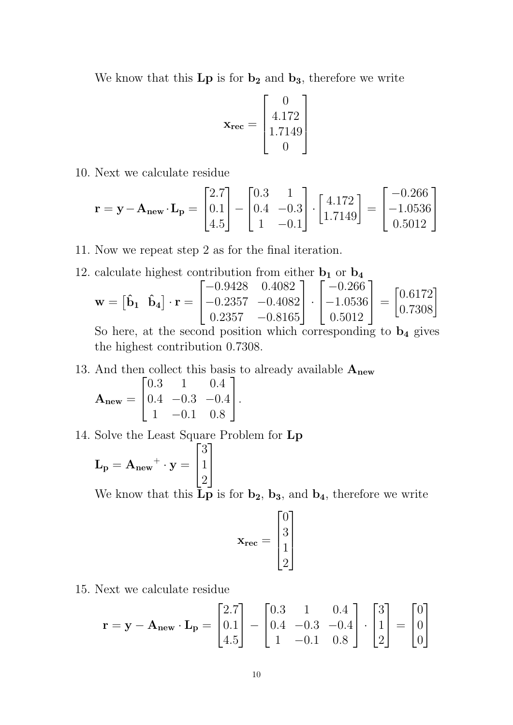We know that this  $\mathbf{Lp}$  is for  $\mathbf{b_2}$  and  $\mathbf{b_3}$ , therefore we write

$$
\mathbf{x}_{\text{rec}} = \begin{bmatrix} 0 \\ 4.172 \\ 1.7149 \\ 0 \end{bmatrix}
$$

10. Next we calculate residue

$$
\mathbf{r} = \mathbf{y} - \mathbf{A}_{\text{new}} \cdot \mathbf{L}_{\text{p}} = \begin{bmatrix} 2.7 \\ 0.1 \\ 4.5 \end{bmatrix} - \begin{bmatrix} 0.3 & 1 \\ 0.4 & -0.3 \\ 1 & -0.1 \end{bmatrix} \cdot \begin{bmatrix} 4.172 \\ 1.7149 \end{bmatrix} = \begin{bmatrix} -0.266 \\ -1.0536 \\ 0.5012 \end{bmatrix}
$$

11. Now we repeat step 2 as for the final iteration.

12. calculate highest contribution from either  $\mathbf{b}_1$  or  $\mathbf{b}_4$ 

$$
\mathbf{w} = \begin{bmatrix} \hat{\mathbf{b}}_1 & \hat{\mathbf{b}}_4 \end{bmatrix} \cdot \mathbf{r} = \begin{bmatrix} -0.9428 & 0.4082 \\ -0.2357 & -0.4082 \\ 0.2357 & -0.8165 \end{bmatrix} \cdot \begin{bmatrix} -0.266 \\ -1.0536 \\ 0.5012 \end{bmatrix} = \begin{bmatrix} 0.6172 \\ 0.7308 \end{bmatrix}
$$

So here, at the second position which corresponding to  $\mathbf{b}_4$  gives the highest contribution 0.7308.

13. And then collect this basis to already available  $A_{new}$ 

$$
\mathbf{A}_{\text{new}} = \begin{bmatrix} 0.3 & 1 & 0.4 \\ 0.4 & -0.3 & -0.4 \\ 1 & -0.1 & 0.8 \end{bmatrix}.
$$

14. Solve the Least Square Problem for Lp

$$
\mathbf{L}_{\mathbf{p}} = \mathbf{A}_{\text{new}} + \mathbf{y} = \begin{bmatrix} 3 \\ 1 \\ 2 \end{bmatrix}
$$

We know that this  $\mathbf{Lp}$  is for  $\mathbf{b_2}$ ,  $\mathbf{b_3}$ , and  $\mathbf{b_4}$ , therefore we write

$$
\mathbf{x}_{\text{rec}} = \begin{bmatrix} 0 \\ 3 \\ 1 \\ 2 \end{bmatrix}
$$

15. Next we calculate residue

$$
\mathbf{r} = \mathbf{y} - \mathbf{A}_{\text{new}} \cdot \mathbf{L}_{\text{p}} = \begin{bmatrix} 2.7 \\ 0.1 \\ 4.5 \end{bmatrix} - \begin{bmatrix} 0.3 & 1 & 0.4 \\ 0.4 & -0.3 & -0.4 \\ 1 & -0.1 & 0.8 \end{bmatrix} \cdot \begin{bmatrix} 3 \\ 1 \\ 2 \end{bmatrix} = \begin{bmatrix} 0 \\ 0 \\ 0 \end{bmatrix}
$$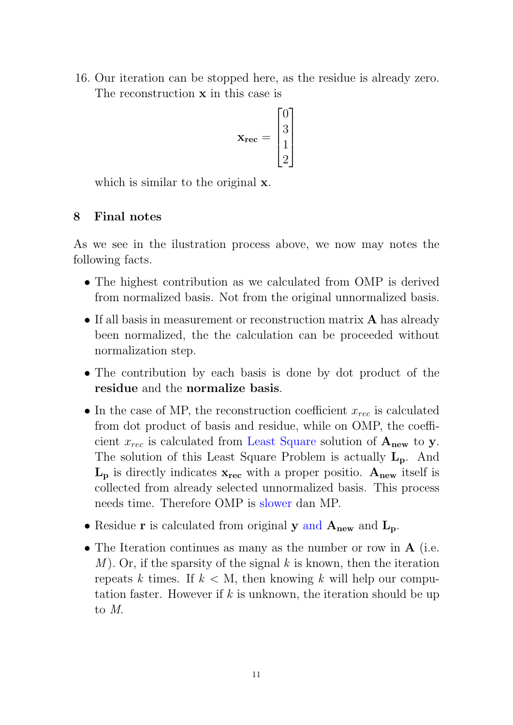16. Our iteration can be stopped here, as the residue is already zero. The reconstruction **x** in this case is

$$
\mathbf{x}_{\text{rec}} = \begin{bmatrix} 0 \\ 3 \\ 1 \\ 2 \end{bmatrix}
$$

which is similar to the original **x**.

# 8 Final notes

As we see in the ilustration process above, we now may notes the following facts.

- The highest contribution as we calculated from OMP is derived from normalized basis. Not from the original unnormalized basis.
- If all basis in measurement or reconstruction matrix **A** has already been normalized, the the calculation can be proceeded without normalization step.
- The contribution by each basis is done by dot product of the residue and the normalize basis.
- In the case of MP, the reconstruction coefficient  $x_{rec}$  is calculated from dot product of basis and residue, while on OMP, the coefficient  $x_{rec}$  is calculated from Least Square solution of  $A_{new}$  to y. The solution of this Least Square Problem is actually  $L_p$ . And  $L_p$  is directly indicates  $x_{rec}$  with a proper positio.  $A_{new}$  itself is collected from already selected unnormalized basis. This process needs time. Therefore OMP is slower dan MP.
- Residue r is calculated from original y and  $A_{new}$  and  $L_p$ .
- The Iteration continues as many as the number or row in **A** (i.e. M). Or, if the sparsity of the signal k is known, then the iteration repeats k times. If  $k < M$ , then knowing k will help our computation faster. However if  $k$  is unknown, the iteration should be up to M.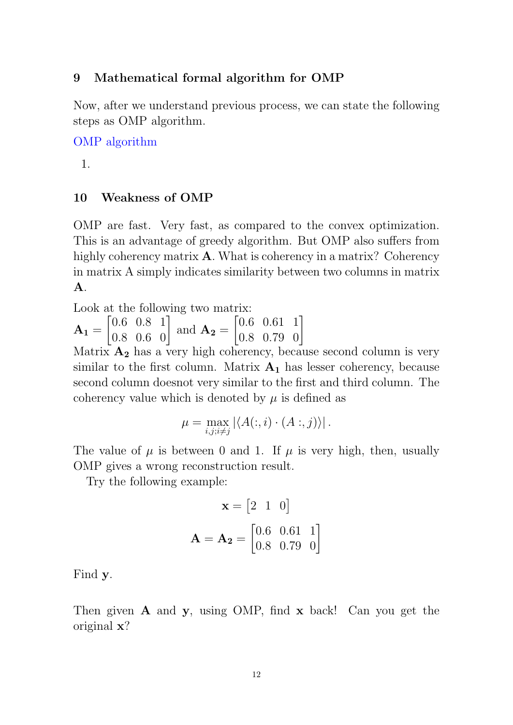### 9 Mathematical formal algorithm for OMP

Now, after we understand previous process, we can state the following steps as OMP algorithm.

OMP algorithm

1.

### 10 Weakness of OMP

OMP are fast. Very fast, as compared to the convex optimization. This is an advantage of greedy algorithm. But OMP also suffers from highly coherency matrix **A**. What is coherency in a matrix? Coherency in matrix A simply indicates similarity between two columns in matrix A.

Look at the following two matrix:

 $A_1 =$  $\begin{bmatrix} 0.6 & 0.8 & 1 \\ 0.8 & 0.6 & 0 \end{bmatrix}$  and  $\mathbf{A_2} =$  $\begin{bmatrix} 0.6 & 0.61 & 1 \\ 0.8 & 0.79 & 0 \end{bmatrix}$ 

Matrix  $A_2$  has a very high coherency, because second column is very similar to the first column. Matrix  $A_1$  has lesser coherency, because second column doesnot very similar to the first and third column. The coherency value which is denoted by  $\mu$  is defined as

$$
\mu = \max_{i,j;i \neq j} |\langle A(:,i) \cdot (A:,j) \rangle|.
$$

The value of  $\mu$  is between 0 and 1. If  $\mu$  is very high, then, usually OMP gives a wrong reconstruction result.

Try the following example:

$$
\mathbf{x} = \begin{bmatrix} 2 & 1 & 0 \end{bmatrix}
$$

$$
\mathbf{A} = \mathbf{A_2} = \begin{bmatrix} 0.6 & 0.61 & 1 \\ 0.8 & 0.79 & 0 \end{bmatrix}
$$

Find y.

Then given  $\bf{A}$  and  $\bf{y}$ , using OMP, find  $\bf{x}$  back! Can you get the original x?